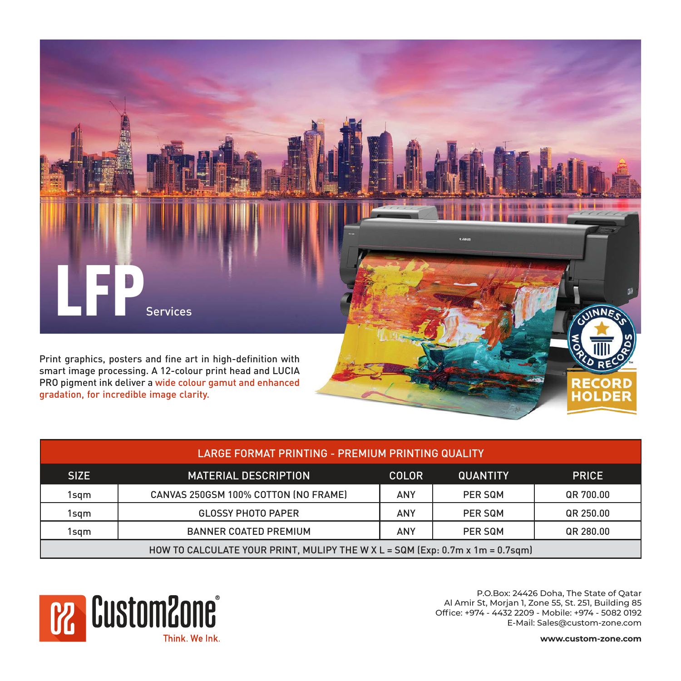

| LARGE FORMAT PRINTING - PREMIUM PRINTING QUALITY                              |                                      |                                                 |         |           |  |  |  |  |
|-------------------------------------------------------------------------------|--------------------------------------|-------------------------------------------------|---------|-----------|--|--|--|--|
| <b>SIZE</b>                                                                   | <b>MATERIAL DESCRIPTION</b>          | <b>QUANTITY</b><br><b>PRICE</b><br><b>COLOR</b> |         |           |  |  |  |  |
| 1sgm                                                                          | CANVAS 250GSM 100% COTTON (NO FRAME) | <b>ANY</b>                                      | PER SQM | QR 700.00 |  |  |  |  |
| 1sgm                                                                          | <b>GLOSSY PHOTO PAPER</b>            | ANY                                             | PER SQM | QR 250.00 |  |  |  |  |
| 1sgm                                                                          | <b>BANNER COATED PREMIUM</b>         | ANY                                             | PER SQM | QR 280.00 |  |  |  |  |
| HOW TO CALCULATE YOUR PRINT, MULIPY THE W X L = SQM (Exp: 0.7m x 1m = 0.7sqm) |                                      |                                                 |         |           |  |  |  |  |

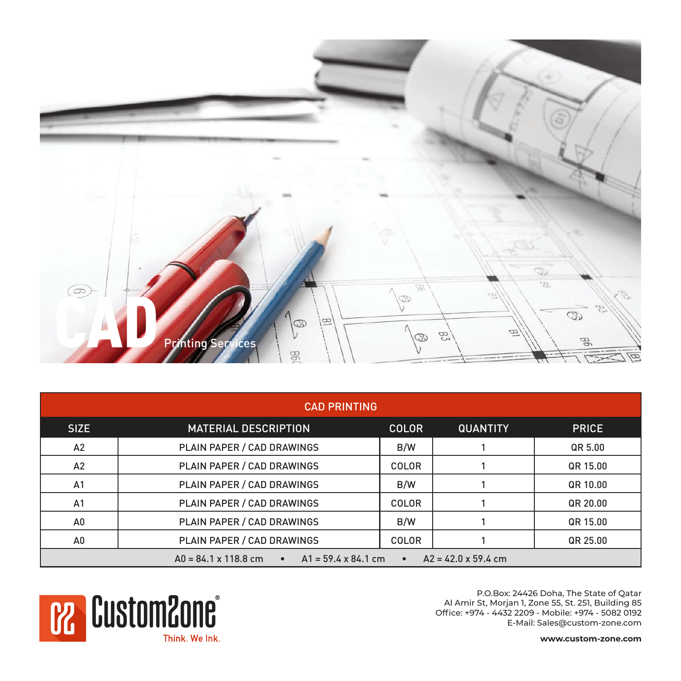

| <b>CAD PRINTING</b>                                                                                                      |                             |              |                 |              |  |  |  |
|--------------------------------------------------------------------------------------------------------------------------|-----------------------------|--------------|-----------------|--------------|--|--|--|
| <b>SIZE</b>                                                                                                              | <b>MATERIAL DESCRIPTION</b> | <b>COLOR</b> | <b>QUANTITY</b> | <b>PRICE</b> |  |  |  |
| A2                                                                                                                       | PLAIN PAPER / CAD DRAWINGS  | B/W          |                 | QR 5.00      |  |  |  |
| A2                                                                                                                       | PLAIN PAPER / CAD DRAWINGS  | <b>COLOR</b> |                 | QR 15.00     |  |  |  |
| A1                                                                                                                       | PLAIN PAPER / CAD DRAWINGS  | B/W          |                 | QR 10.00     |  |  |  |
| A1                                                                                                                       | PLAIN PAPER / CAD DRAWINGS  | <b>COLOR</b> |                 | QR 20.00     |  |  |  |
| A0                                                                                                                       | PLAIN PAPER / CAD DRAWINGS  | B/W          |                 | QR 15.00     |  |  |  |
| A0                                                                                                                       | PLAIN PAPER / CAD DRAWINGS  | <b>COLOR</b> |                 | QR 25.00     |  |  |  |
| $AD = 84.1 \times 118.8 \text{ cm}$ $\bullet$ $AI = 59.4 \times 84.1 \text{ cm}$ $\bullet$<br>$A2 = 42.0 \times 59.4$ cm |                             |              |                 |              |  |  |  |

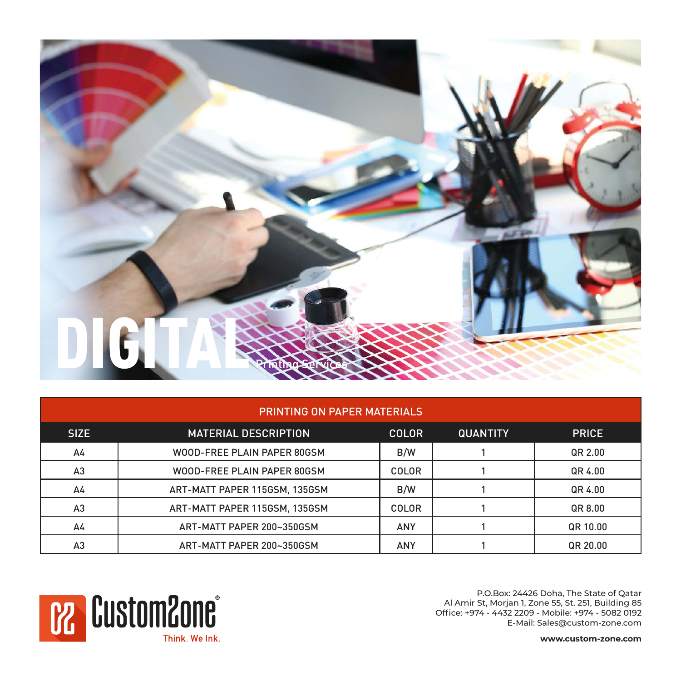

| <b>PRINTING ON PAPER MATERIALS</b> |                               |              |                 |              |  |  |  |  |
|------------------------------------|-------------------------------|--------------|-----------------|--------------|--|--|--|--|
| <b>SIZE</b>                        | <b>MATERIAL DESCRIPTION</b>   | <b>COLOR</b> | <b>QUANTITY</b> | <b>PRICE</b> |  |  |  |  |
| A4                                 | WOOD-FREE PLAIN PAPER 80GSM   | B/W          |                 | QR 2.00      |  |  |  |  |
| A <sub>3</sub>                     | WOOD-FREE PLAIN PAPER 80GSM   | <b>COLOR</b> |                 | QR 4.00      |  |  |  |  |
| A4                                 | ART-MATT PAPER 115GSM, 135GSM | B/W          |                 | QR 4.00      |  |  |  |  |
| A3                                 | ART-MATT PAPER 115GSM, 135GSM | <b>COLOR</b> |                 | QR 8.00      |  |  |  |  |
| A4                                 | ART-MATT PAPER 200~350GSM     | <b>ANY</b>   |                 | QR 10.00     |  |  |  |  |
| A <sub>3</sub>                     | ART-MATT PAPER 200~350GSM     | <b>ANY</b>   |                 | QR 20.00     |  |  |  |  |

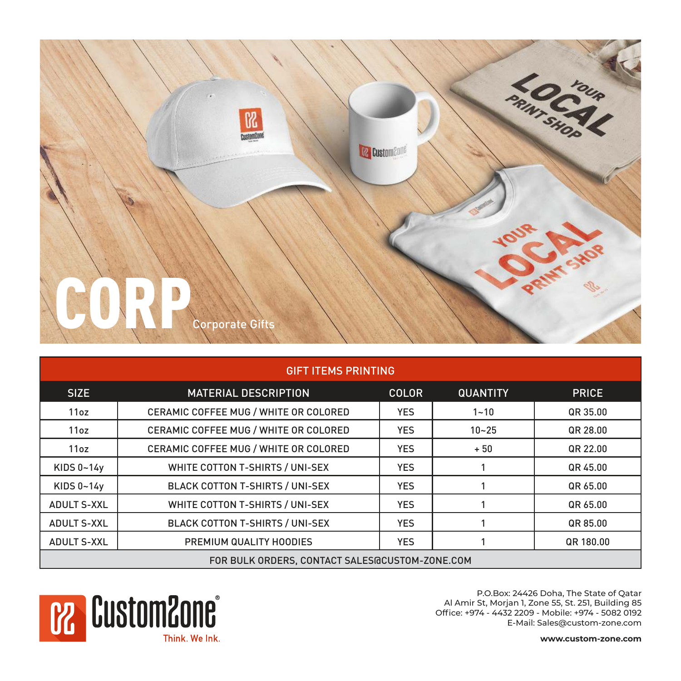

| <b>GIFT ITEMS PRINTING</b>                     |                                        |              |                 |              |  |  |  |  |
|------------------------------------------------|----------------------------------------|--------------|-----------------|--------------|--|--|--|--|
| <b>SIZE</b>                                    | <b>MATERIAL DESCRIPTION</b>            | <b>COLOR</b> | <b>QUANTITY</b> | <b>PRICE</b> |  |  |  |  |
| 11oz                                           | CERAMIC COFFEE MUG / WHITE OR COLORED  | <b>YES</b>   | $1 - 10$        | QR 35.00     |  |  |  |  |
| 11oz                                           | CERAMIC COFFEE MUG / WHITE OR COLORED  | <b>YES</b>   | $10 - 25$       | QR 28.00     |  |  |  |  |
| 11oz                                           | CERAMIC COFFEE MUG / WHITE OR COLORED  | <b>YES</b>   | $+50$           | QR 22.00     |  |  |  |  |
| KIDS $0 - 14y$                                 | WHITE COTTON T-SHIRTS / UNI-SEX        | <b>YES</b>   |                 | QR 45.00     |  |  |  |  |
| KIDS $0 - 14y$                                 | <b>BLACK COTTON T-SHIRTS / UNI-SEX</b> | <b>YES</b>   |                 | QR 65.00     |  |  |  |  |
| <b>ADULT S-XXL</b>                             | WHITE COTTON T-SHIRTS / UNI-SEX        | <b>YES</b>   |                 | QR 65.00     |  |  |  |  |
| <b>ADULT S-XXL</b>                             | <b>BLACK COTTON T-SHIRTS / UNI-SEX</b> | <b>YES</b>   |                 | QR 85.00     |  |  |  |  |
| <b>ADULT S-XXL</b>                             | PREMIUM QUALITY HOODIES                | <b>YES</b>   |                 | QR 180.00    |  |  |  |  |
| FOR BULK ORDERS, CONTACT SALES@CUSTOM-ZONE.COM |                                        |              |                 |              |  |  |  |  |

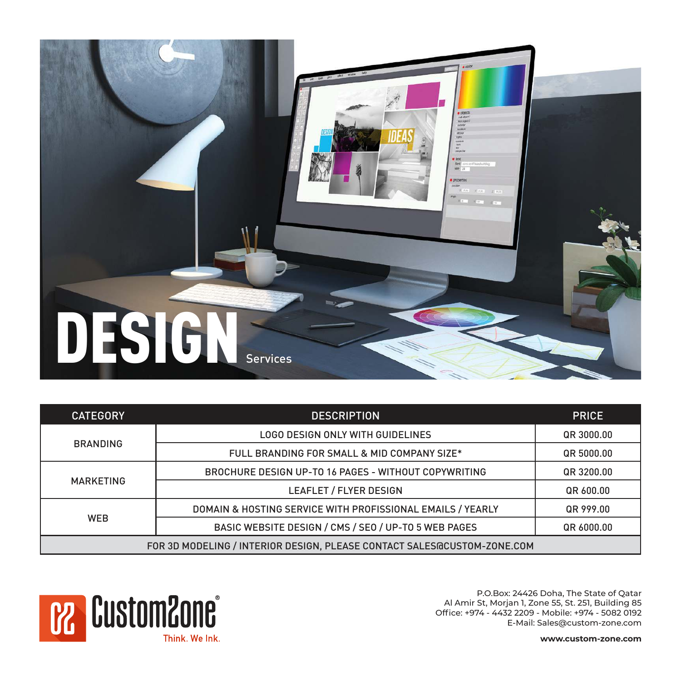

| <b>CATEGORY</b>                                                          | <b>DESCRIPTION</b>                                         |            |  |  |
|--------------------------------------------------------------------------|------------------------------------------------------------|------------|--|--|
|                                                                          | LOGO DESIGN ONLY WITH GUIDELINES                           | QR 3000.00 |  |  |
| <b>BRANDING</b>                                                          | FULL BRANDING FOR SMALL & MID COMPANY SIZE*                | QR 5000.00 |  |  |
|                                                                          | BROCHURE DESIGN UP-TO 16 PAGES - WITHOUT COPYWRITING       | QR 3200.00 |  |  |
| <b>MARKETING</b>                                                         | LEAFLET / FLYER DESIGN                                     | QR 600.00  |  |  |
|                                                                          | DOMAIN & HOSTING SERVICE WITH PROFISSIONAL EMAILS / YEARLY | QR 999.00  |  |  |
| <b>WEB</b>                                                               | BASIC WEBSITE DESIGN / CMS / SEO / UP-TO 5 WEB PAGES       | QR 6000.00 |  |  |
| FOR 3D MODELING / INTERIOR DESIGN, PLEASE CONTACT SALES GCUSTOM-ZONE.COM |                                                            |            |  |  |

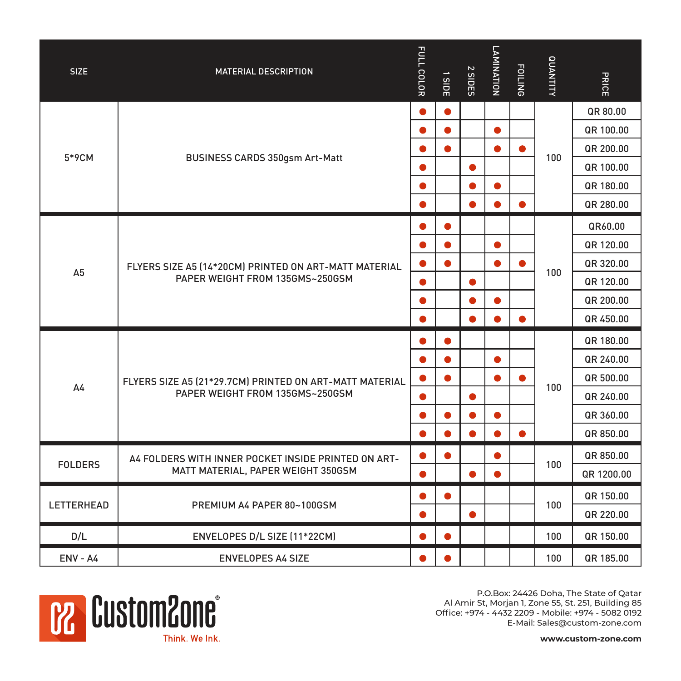| <b>SIZE</b>    | <b>MATERIAL DESCRIPTION</b>                                                               | FULL COLOR | <b>SIDE</b> | 2 SIDES   | LAMINATION | <b>FOILING</b> | <b>UNANTITY</b> | PRICE      |
|----------------|-------------------------------------------------------------------------------------------|------------|-------------|-----------|------------|----------------|-----------------|------------|
|                |                                                                                           | $\bullet$  | $\bullet$   |           |            |                |                 | QR 80.00   |
|                |                                                                                           | $\bullet$  | $\bullet$   |           | $\bullet$  |                |                 | QR 100.00  |
| 5*9CM          | BUSINESS CARDS 350gsm Art-Matt                                                            | $\bullet$  | $\bullet$   |           |            |                | 100             | QR 200.00  |
|                |                                                                                           | $\bullet$  |             | $\bullet$ |            |                |                 | QR 100.00  |
|                |                                                                                           | $\bullet$  |             |           | 0          |                |                 | QR 180.00  |
|                |                                                                                           | O          |             |           |            |                |                 | QR 280.00  |
|                | FLYERS SIZE A5 (14*20CM) PRINTED ON ART-MATT MATERIAL<br>PAPER WEIGHT FROM 135GMS~250GSM  | 0          | $\bullet$   |           |            |                |                 | QR60.00    |
|                |                                                                                           | $\bullet$  | $\bullet$   |           | $\bullet$  |                |                 | QR 120.00  |
| A <sub>5</sub> |                                                                                           | $\bullet$  | $\bullet$   |           | $\bullet$  | $\bullet$      | 100             | QR 320.00  |
|                |                                                                                           | $\bullet$  |             | 0         |            |                |                 | QR 120.00  |
|                |                                                                                           | $\bullet$  |             |           | $\bullet$  |                |                 | QR 200.00  |
|                |                                                                                           | $\bullet$  |             |           |            |                |                 | QR 450.00  |
|                |                                                                                           | 0          | $\bullet$   |           |            |                | 100             | QR 180.00  |
|                |                                                                                           | 0          | $\bullet$   |           | $\bullet$  |                |                 | QR 240.00  |
| A4             | FLYERS SIZE A5 (21*29.7CM) PRINTED ON ART-MATT MATERIAL                                   | $\bullet$  | $\bullet$   |           | $\bullet$  | $\bullet$      |                 | QR 500.00  |
|                | PAPER WEIGHT FROM 135GMS~250GSM                                                           | $\bullet$  |             | ●         |            |                |                 | QR 240.00  |
|                |                                                                                           | 0          | $\bullet$   |           | $\bullet$  |                |                 | QR 360.00  |
|                |                                                                                           | $\bullet$  |             |           |            | $\bullet$      |                 | QR 850.00  |
|                | A4 FOLDERS WITH INNER POCKET INSIDE PRINTED ON ART-<br>MATT MATERIAL, PAPER WEIGHT 350GSM | $\bullet$  |             |           |            |                |                 | QR 850.00  |
| <b>FOLDERS</b> |                                                                                           | $\bullet$  |             | ●         |            |                | 100             | QR 1200.00 |
| LETTERHEAD     | PREMIUM A4 PAPER 80~100GSM                                                                | $\bullet$  | $\bullet$   |           |            |                |                 | QR 150.00  |
|                |                                                                                           |            |             |           |            |                | 100             | QR 220.00  |
| D/L            | ENVELOPES D/L SIZE (11*22CM)                                                              | O          |             |           |            |                | 100             | QR 150.00  |
| $ENV - A4$     | <b>ENVELOPES A4 SIZE</b>                                                                  |            |             |           |            |                | 100             | QR 185.00  |